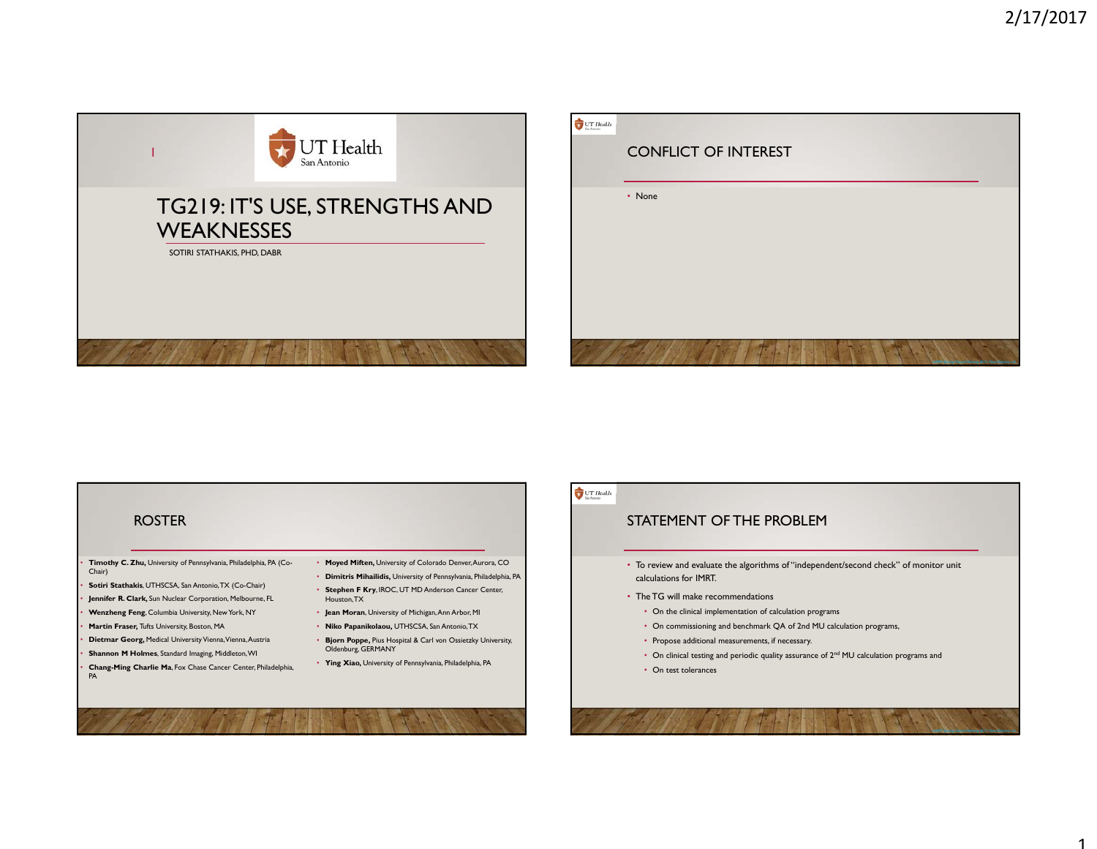

## ROSTER

- **Timothy C. Zhu,** University of Pennsylvania, Philadelphia, PA (Co-Chair)
- **Sotiri Stathakis**, UTHSCSA, San Antonio, TX (Co-Chair)
- **Jennifer R. Clark,** Sun Nuclear Corporation, Melbourne, FL
- **Wenzheng Feng**, Columbia University, New York, NY
- **Martin Fraser,** Tufts University, Boston, MA
- **Dietmar Georg,** Medical University Vienna, Vienna, Austria
- **Shannon M Holmes**, Standard Imaging, Middleton, WI
- **Chang-Ming Charlie Ma**, Fox Chase Cancer Center, Philadelphia, PA
- **Moyed Miften,** University of Colorado Denver, Aurora, CO • **Dimitris Mihailidis,** University of Pennsylvania, Philadelphia, PA
- **Stephen F Kry**, IROC, UT MD Anderson Cancer Center, Houston, TX
- **Jean Moran**, University of Michigan, Ann Arbor, MI
- **Niko Papanikolaou,** UTHSCSA, San Antonio, TX
- **Bjorn Poppe,** Pius Hospital & Carl von Ossietzky University, Oldenburg, GERMANY
- **Ying Xiao,** University of Pennsylvania, Philadelphia, PA

## $UT$  Health

# STATEMENT OF THE PROBLEM

- To review and evaluate the algorithms of "independent/second check" of monitor unit calculations for IMRT.
- The TG will make recommendations
	- On the clinical implementation of calculation programs
	- On commissioning and benchmark QA of 2nd MU calculation programs,
	- Propose additional measurements, if necessary.
	- On clinical testing and periodic quality assurance of  $2^{nd}$  MU calculation programs and
	- On test tolerances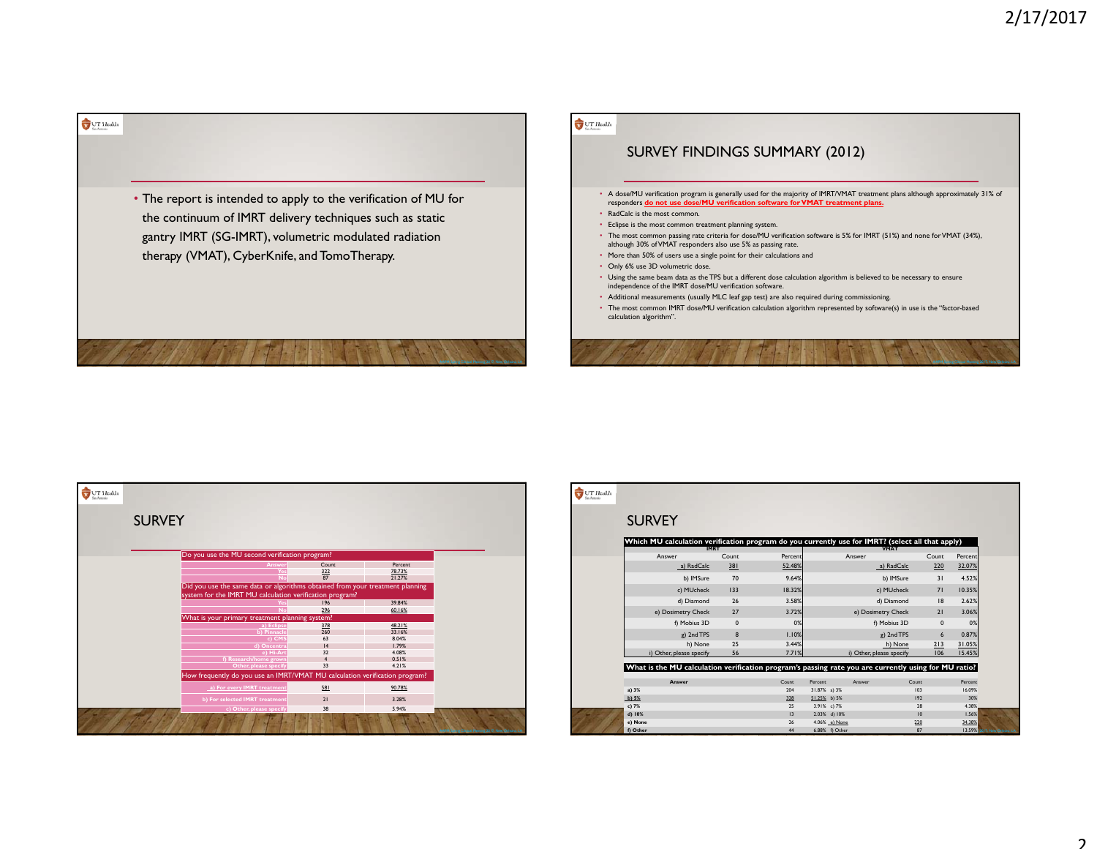

## $\bigcup_{n\in\mathbb{N}}\text{UT}$  Health

# SURVEY FINDINGS SUMMARY (2012)

- A dose/MU verification program is generally used for the majority of IMRT/VMAT treatment plans although approximately 31% of responders **do not use dose/MU verification software for VMAT treatment plans.**
- RadCalc is the most common.
- Eclipse is the most common treatment planning system.
- The most common passing rate criteria for dose/MU verification software is 5% for IMRT (51%) and none for VMAT (34%), although 30% of VMAT responders also use 5% as passing rate.
- More than 50% of users use a single point for their calculations and
- Only 6% use 3D volumetric dose.
- Using the same beam data as the TPS but a different dose calculation algorithm is believed to be necessary to ensure independence of the IMRT dose/MU verification software.
- Additional measurements (usually MLC leaf gap test) are also required during commissioning.
- The most common IMRT dose/MU verification calculation algorithm represented by software(s) in use is the "factor-based calculation algorithm".

| $$\sf{UT}\sf{Heakh}$$ |                                                                               |                   |                  |                                                    |
|-----------------------|-------------------------------------------------------------------------------|-------------------|------------------|----------------------------------------------------|
|                       | <b>SURVEY</b>                                                                 |                   |                  |                                                    |
|                       |                                                                               |                   |                  |                                                    |
|                       | Do you use the MU second verification program?                                |                   |                  |                                                    |
|                       | Answer                                                                        | Count             | Percent          |                                                    |
|                       | Yes<br>$\overline{N}$                                                         | 322<br>87         | 78.73%<br>21.27% |                                                    |
|                       | Did you use the same data or algorithms obtained from your treatment planning |                   |                  |                                                    |
|                       | system for the IMRT MU calculation verification program?                      |                   |                  |                                                    |
|                       |                                                                               | 196               | 39.84%           |                                                    |
|                       | <b>No</b>                                                                     | 296               | 60.16%           |                                                    |
|                       | What is your primary treatment planning system?                               |                   |                  |                                                    |
|                       | a) Eclipse                                                                    | $\frac{378}{260}$ | 48.21%           |                                                    |
|                       | b) Pinnacle                                                                   | 63                | 33.16%<br>8.04%  |                                                    |
|                       | c) CMS<br>d) Oncentra                                                         | 4                 | 1.79%            |                                                    |
|                       | e) Hi-Art                                                                     | 32                | 4.08%            |                                                    |
|                       | f) Research/home grown                                                        | 4                 | 0.51%            |                                                    |
|                       | Other, please specify                                                         | 33                | 4.21%            |                                                    |
|                       | How frequently do you use an IMRT/VMAT MU calculation verification program?   |                   |                  |                                                    |
|                       | a) For every IMRT treatment                                                   | 581               | 90.78%           |                                                    |
|                       | b) For selected IMRT treatment                                                | 21                | 3.28%            |                                                    |
|                       | c) Other, please specify                                                      | 38                | 5.94%            |                                                    |
|                       |                                                                               |                   |                  | AAPM Spring Clinical Meeting 2017, New Orleans, LA |

| Which MU calculation verification program do you currently use for IMRT? (select all that apply)<br><b>IMRT</b><br><b>VMAT</b><br>Count<br>Count<br>Percent<br>Answer<br>Answer<br>220<br>a) RadCalc<br>381<br>52.48%<br>a) RadCalc<br>70<br>9.64%<br>b) IMSure<br>b) IMSure<br>31<br>18.32%<br>c) MUcheck<br>133<br>c) MUcheck<br>71<br>d) Diamond<br>26<br>3.58%<br>d) Diamond<br> 8<br>e) Dosimetry Check<br>27<br>3.72%<br>e) Dosimetry Check<br>21<br>f) Mobius 3D<br>$\mathbf 0$<br>0%<br>f) Mobius 3D<br>$\mathbf{0}$<br>8<br>g) 2nd TPS<br>1.10%<br>g) 2nd TPS<br>$6\overline{6}$<br>25<br>h) None<br>3.44%<br>h) None<br>213<br>i) Other, please specify<br>56<br>7.71%<br>i) Other, please specify<br>106<br>What is the MU calculation verification program's passing rate you are currently using for MU ratio?<br>Answer<br>Count<br>Percent<br>Count<br>Answer |       |    |             |    |               |
|------------------------------------------------------------------------------------------------------------------------------------------------------------------------------------------------------------------------------------------------------------------------------------------------------------------------------------------------------------------------------------------------------------------------------------------------------------------------------------------------------------------------------------------------------------------------------------------------------------------------------------------------------------------------------------------------------------------------------------------------------------------------------------------------------------------------------------------------------------------------------|-------|----|-------------|----|---------------|
|                                                                                                                                                                                                                                                                                                                                                                                                                                                                                                                                                                                                                                                                                                                                                                                                                                                                              |       |    |             |    |               |
|                                                                                                                                                                                                                                                                                                                                                                                                                                                                                                                                                                                                                                                                                                                                                                                                                                                                              |       |    |             |    | Percent       |
|                                                                                                                                                                                                                                                                                                                                                                                                                                                                                                                                                                                                                                                                                                                                                                                                                                                                              |       |    |             |    | 32.07%        |
|                                                                                                                                                                                                                                                                                                                                                                                                                                                                                                                                                                                                                                                                                                                                                                                                                                                                              |       |    |             |    | 4.52%         |
|                                                                                                                                                                                                                                                                                                                                                                                                                                                                                                                                                                                                                                                                                                                                                                                                                                                                              |       |    |             |    | 10.35%        |
|                                                                                                                                                                                                                                                                                                                                                                                                                                                                                                                                                                                                                                                                                                                                                                                                                                                                              |       |    |             |    | 2.62%         |
|                                                                                                                                                                                                                                                                                                                                                                                                                                                                                                                                                                                                                                                                                                                                                                                                                                                                              |       |    |             |    | 3.06%         |
|                                                                                                                                                                                                                                                                                                                                                                                                                                                                                                                                                                                                                                                                                                                                                                                                                                                                              |       |    |             |    | 0%            |
|                                                                                                                                                                                                                                                                                                                                                                                                                                                                                                                                                                                                                                                                                                                                                                                                                                                                              |       |    |             |    | 0.87%         |
|                                                                                                                                                                                                                                                                                                                                                                                                                                                                                                                                                                                                                                                                                                                                                                                                                                                                              |       |    |             |    | 31.05%        |
|                                                                                                                                                                                                                                                                                                                                                                                                                                                                                                                                                                                                                                                                                                                                                                                                                                                                              |       |    |             |    | 15.45%        |
|                                                                                                                                                                                                                                                                                                                                                                                                                                                                                                                                                                                                                                                                                                                                                                                                                                                                              |       |    |             |    |               |
|                                                                                                                                                                                                                                                                                                                                                                                                                                                                                                                                                                                                                                                                                                                                                                                                                                                                              |       |    |             |    |               |
|                                                                                                                                                                                                                                                                                                                                                                                                                                                                                                                                                                                                                                                                                                                                                                                                                                                                              |       |    |             |    | Percent       |
| a) 3%<br>31.87% a) 3%<br>204<br>103<br>197<br>b) $5%$<br>328<br>51.25% b) 5%                                                                                                                                                                                                                                                                                                                                                                                                                                                                                                                                                                                                                                                                                                                                                                                                 |       |    |             |    | 16.09%<br>30% |
|                                                                                                                                                                                                                                                                                                                                                                                                                                                                                                                                                                                                                                                                                                                                                                                                                                                                              | c) 7% | 25 | 3.91% c) 7% | 28 | 4.38%         |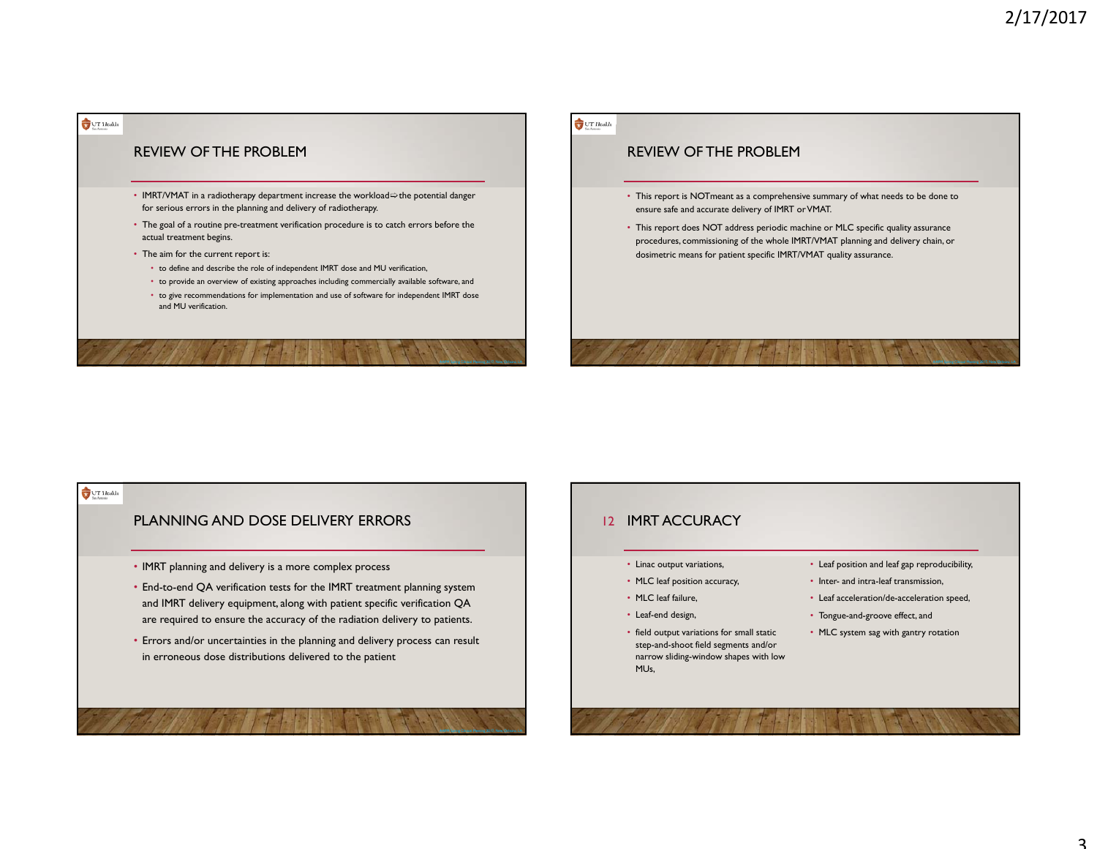

### $U$ T Health

## REVIEW OF THE PROBLEM

- This report is NOTmeant as a comprehensive summary of what needs to be done to ensure safe and accurate delivery of IMRT or VMAT.
- This report does NOT address periodic machine or MLC specific quality assurance procedures, commissioning of the whole IMRT/VMAT planning and delivery chain, or dosimetric means for patient specific IMRT/VMAT quality assurance.

### $UT$  Health

### PLANNING AND DOSE DELIVERY ERRORS

- IMRT planning and delivery is a more complex process
- End-to-end QA verification tests for the IMRT treatment planning system and IMRT delivery equipment, along with patient specific verification QA are required to ensure the accuracy of the radiation delivery to patients.
- Errors and/or uncertainties in the planning and delivery process can result in erroneous dose distributions delivered to the patient

### I2 IMRT ACCURACY

#### • Linac output variations,

- MLC leaf position accuracy,
- MLC leaf failure,
- Leaf-end design,
- field output variations for small static step-and-shoot field segments and/or narrow sliding-window shapes with low MUs,
- Leaf position and leaf gap reproducibility,
- Inter- and intra-leaf transmission,
- Leaf acceleration/de-acceleration speed,
- Tongue-and-groove effect, and
- MLC system sag with gantry rotation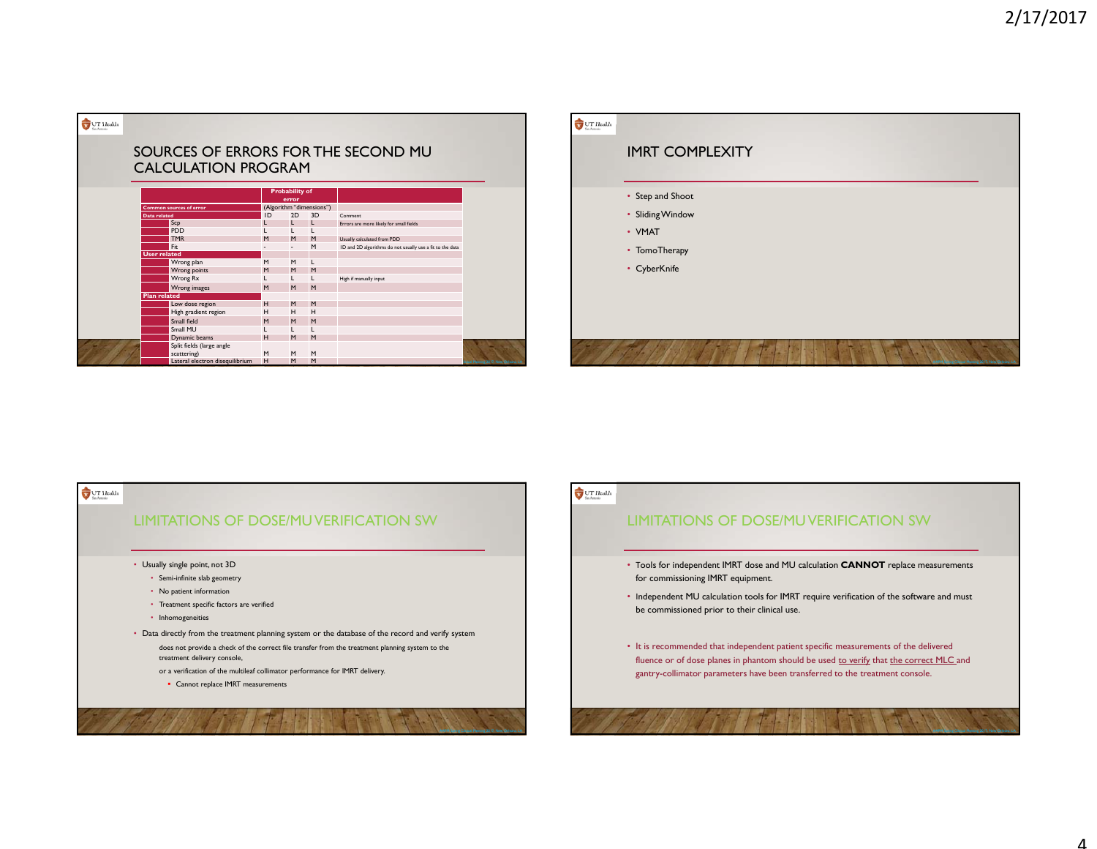| UT Health |                     |                                          |    |                                |                          |                                                           |                                     |
|-----------|---------------------|------------------------------------------|----|--------------------------------|--------------------------|-----------------------------------------------------------|-------------------------------------|
|           |                     |                                          |    |                                |                          | SOURCES OF ERRORS FOR THE SECOND MU                       |                                     |
|           |                     | <b>CALCULATION PROGRAM</b>               |    |                                |                          |                                                           |                                     |
|           |                     |                                          |    | <b>Probability of</b><br>error |                          |                                                           |                                     |
|           |                     | <b>Common sources of error</b>           |    |                                | (Algorithm "dimensions") |                                                           |                                     |
|           | <b>Data</b> related |                                          | ID | 2D                             | 3D                       | Comment                                                   |                                     |
|           |                     | Scp                                      |    | L                              | L                        | Errors are more likely for small fields                   |                                     |
|           |                     | <b>PDD</b>                               |    |                                |                          |                                                           |                                     |
|           |                     | <b>TMR</b>                               | M  | M                              | M                        | Usually calculated from PDD                               |                                     |
|           |                     | Fit                                      |    |                                | M                        | ID and 2D algorithms do not usually use a fit to the data |                                     |
|           | <b>User related</b> |                                          |    |                                |                          |                                                           |                                     |
|           |                     | Wrong plan                               | M  | M                              | L                        |                                                           |                                     |
|           |                     | Wrong points                             | M  | M                              | M                        |                                                           |                                     |
|           |                     | Wrong Rx                                 |    | L                              | L                        | High if manually input                                    |                                     |
|           |                     | Wrong images                             | M  | M                              | M                        |                                                           |                                     |
|           | <b>Plan related</b> |                                          |    |                                |                          |                                                           |                                     |
|           |                     | Low dose region                          | H  | M                              | M                        |                                                           |                                     |
|           |                     | High gradient region                     | н  | H                              | H                        |                                                           |                                     |
|           |                     | Small field                              | M  | M                              | M                        |                                                           |                                     |
|           |                     | Small MU                                 |    | L                              |                          |                                                           |                                     |
|           |                     | Dynamic beams                            | H  | M                              | M                        |                                                           |                                     |
|           |                     | Split fields (large angle<br>scattering) | M  | M                              | M                        |                                                           |                                     |
|           |                     | Lateral electron disequilibrium          | H  | M                              | M                        |                                                           | sical Meeting 2017, New Orleans, LA |





# $\bigcup_{\text{inform}}$  LT Health

## LIMITATIONS OF DOSE/MU VERIFICATION SW

- <sup>Τ</sup>ools for independent IMRT dose and MU calculation **CANNOT** replace measurements for commissioning IMRT equipment.
- Ιndependent MU calculation tools for IMRT require verification of the software and must be commissioned prior to their clinical use.
- It is recommended that independent patient specific measurements of the delivered fluence or of dose planes in phantom should be used to verify that the correct MLC and gantry-collimator parameters have been transferred to the treatment console.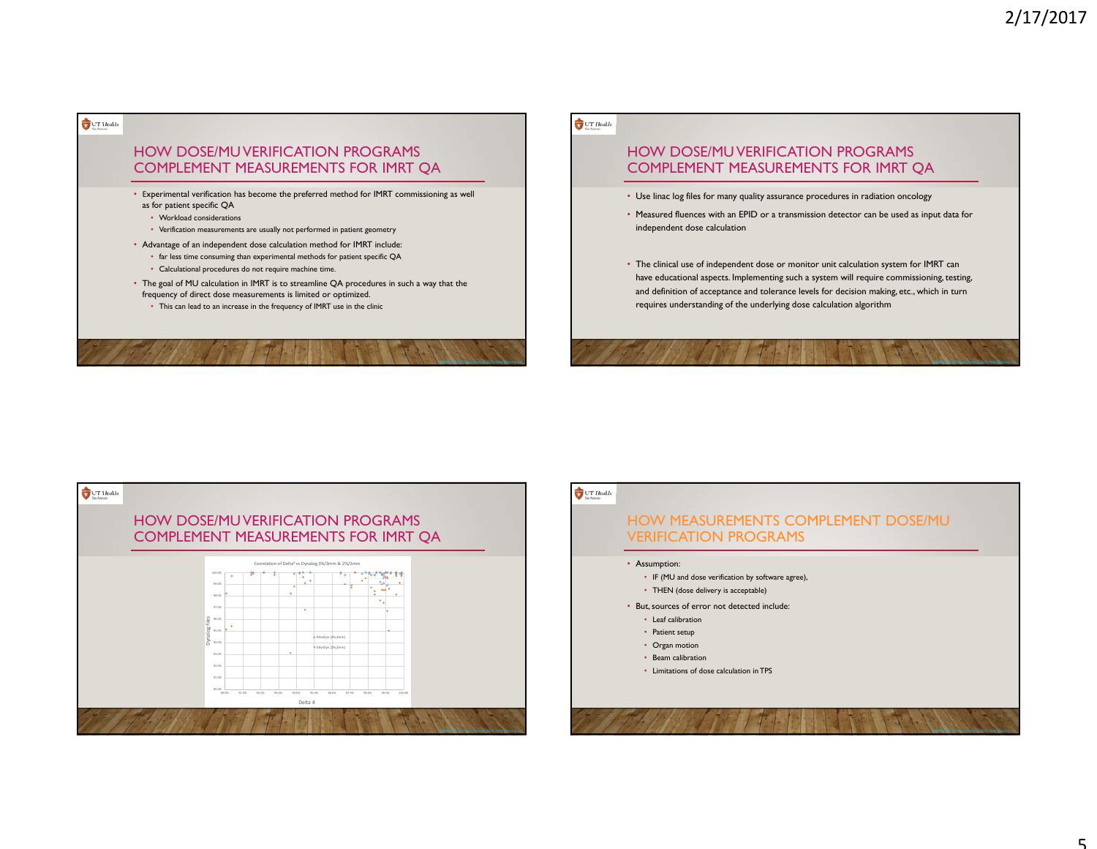### $UT$  Health

## HOW DOSE/MU VERIFICATION PROGRAMS COMPLEMENT MEASUREMENTS FOR IMRT QA

• <sup>Ε</sup>xperimental verification has become the preferred method for IMRT commissioning as well as for patient specific QA

- Workload considerations
- Verification measurements are usually not performed in patient geometry
- Advantage of an independent dose calculation method for IMRT include:
- far less time consuming than experimental methods for patient specific QA
- Calculational procedures do not require machine time.
- The goal of MU calculation in IMRT is to streamline QA procedures in such a way that the frequency of direct dose measurements is limited or optimized.
	- This can lead to an increase in the frequency of IMRT use in the clinic

### $UT$  Health

# HOW DOSE/MU VERIFICATION PROGRAMS COMPLEMENT MEASUREMENTS FOR IMRT QA

- Use linac log files for many quality assurance procedures in radiation oncology
- Measured fluences with an EPID or a transmission detector can be used as input data for independent dose calculation
- The clinical use of independent dose or monitor unit calculation system for IMRT can have educational aspects. Implementing such a system will require commissioning, testing, and definition of acceptance and tolerance levels for decision making, etc., which in turn requires understanding of the underlying dose calculation algorithm



### $UT$  Health

## HOW MEASUREMENTS COMPLEMENT DOSE/MU VERIFICATION PROGRAMS

#### • Assumption:

- IF (MU and dose verification by software agree),
- THEN (dose delivery is acceptable)
- But, sources of error not detected include:
- Leaf calibration
- Patient setup
- Organ motion
- Beam calibration • Limitations of dose calculation in TPS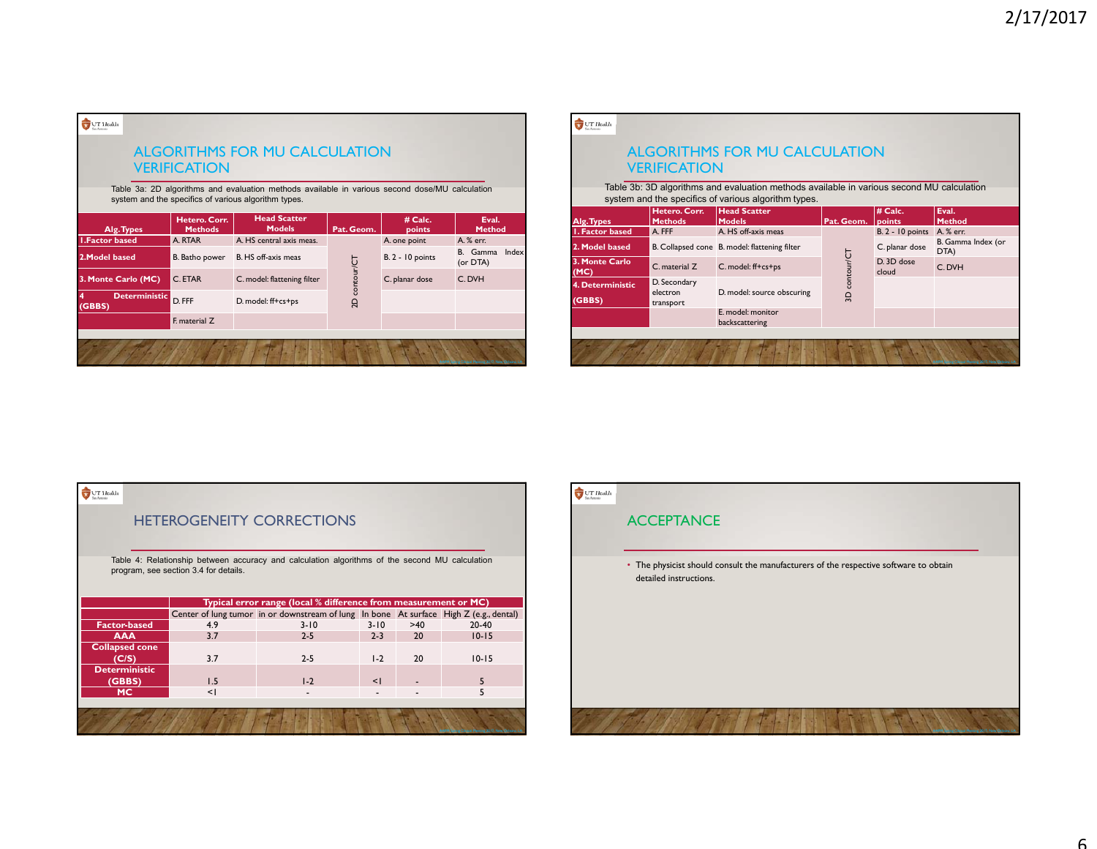|                       | <b>VERIFICATION</b>                    | <b>ALGORITHMS FOR MU CALCULATION</b>                                                                                                                   |               |                         |                            |
|-----------------------|----------------------------------------|--------------------------------------------------------------------------------------------------------------------------------------------------------|---------------|-------------------------|----------------------------|
|                       |                                        | Table 3a: 2D algorithms and evaluation methods available in various second dose/MU calculation<br>system and the specifics of various algorithm types. |               |                         |                            |
| Alg. Types            | <b>Hetero. Corr.</b><br><b>Methods</b> | <b>Head Scatter</b><br><b>Models</b>                                                                                                                   | Pat. Geom.    | # Calc.<br>points       | Eval.<br><b>Method</b>     |
| <b>I.Factor based</b> | A. RTAR                                | A. HS central axis meas.                                                                                                                               |               | A. one point            | A. % err.                  |
| 2. Model based        | B. Batho power                         | B. HS off-axis meas                                                                                                                                    |               | <b>B. 2 - 10 points</b> | B. Gamma Index<br>(or DTA) |
| 3. Monte Carlo (MC)   | C. ETAR                                | C. model: flattening filter                                                                                                                            | 2D contour/CT | C. planar dose          | C. DVH                     |
| <b>Deterministic</b>  | D. FFF                                 | D. model: ff+cs+ps                                                                                                                                     |               |                         |                            |
| (GBBS)                |                                        |                                                                                                                                                        |               |                         |                            |

|                                      | <b>VERIFICATION</b>      | ALGORITHMS FOR MU CALCULATION                                                                                                                     |               |                             |                            |
|--------------------------------------|--------------------------|---------------------------------------------------------------------------------------------------------------------------------------------------|---------------|-----------------------------|----------------------------|
|                                      |                          | Table 3b: 3D algorithms and evaluation methods available in various second MU calculation<br>system and the specifics of various algorithm types. |               |                             |                            |
|                                      | Hetero. Corr.            | <b>Head Scatter</b>                                                                                                                               |               | # Calc.                     | Eval.                      |
| Alg. Types<br><b>I. Factor based</b> | <b>Methods</b><br>A. FFF | <b>Models</b><br>A. HS off-axis meas                                                                                                              | Pat. Geom.    | points<br>$B.2 - 10$ points | <b>Method</b><br>A. % err. |
| 2. Model based                       |                          | B. Collapsed cone B. model: flattening filter                                                                                                     |               | C. planar dose              | B. Gamma Index (or<br>DTA) |
| 3. Monte Carlo<br>(MC)               | C. material Z            | C. model: ff+cs+ps                                                                                                                                | 3D contour/CT | D 3D dose<br>cloud          | C. DVH                     |
| 4. Deterministic                     | D. Secondary             |                                                                                                                                                   |               |                             |                            |
| (GBBS)                               | electron<br>transport    | D. model: source obscuring                                                                                                                        |               |                             |                            |
|                                      |                          | E. model: monitor<br>backscattering                                                                                                               |               |                             |                            |

 $\bigcup_{\text{infinite}}$  UT Health

## HETEROGENEITY CORRECTIONS

Table 4: Relationship between accuracy and calculation algorithms of the second MU calculation program, see section 3.4 for details.

|                                |        | Typical error range (local % difference from measurement or MC)                        |          |     |                                                    |
|--------------------------------|--------|----------------------------------------------------------------------------------------|----------|-----|----------------------------------------------------|
|                                |        | Center of lung tumor in or downstream of lung In bone At surface High Z (e.g., dental) |          |     |                                                    |
| <b>Factor-based</b>            | 4.9    | $3 - 10$                                                                               | $3 - 10$ | >40 | $20-40$                                            |
| <b>AAA</b>                     | 3.7    | $2 - 5$                                                                                | $2 - 3$  | 20  | $10 - 15$                                          |
| <b>Collapsed cone</b><br>C(S)  | 3.7    | $2 - 5$                                                                                | $1-2$    | 20  | $10 - 15$                                          |
| <b>Deterministic</b><br>(GBBS) | 1.5    | $1-2$                                                                                  | $\leq$   |     |                                                    |
| <b>MC</b>                      | $\leq$ |                                                                                        |          |     |                                                    |
|                                |        |                                                                                        |          |     |                                                    |
|                                |        |                                                                                        |          |     | AAPM Spring Clinical Meeting 2017, New Orleans, LA |

# $\begin{tabular}{|c|c|} \hline \quad \quad & UT \; Health \\ \hline \end{tabular}$

### ACCEPTANCE

• The physicist should consult the manufacturers of the respective software to obtain detailed instructions.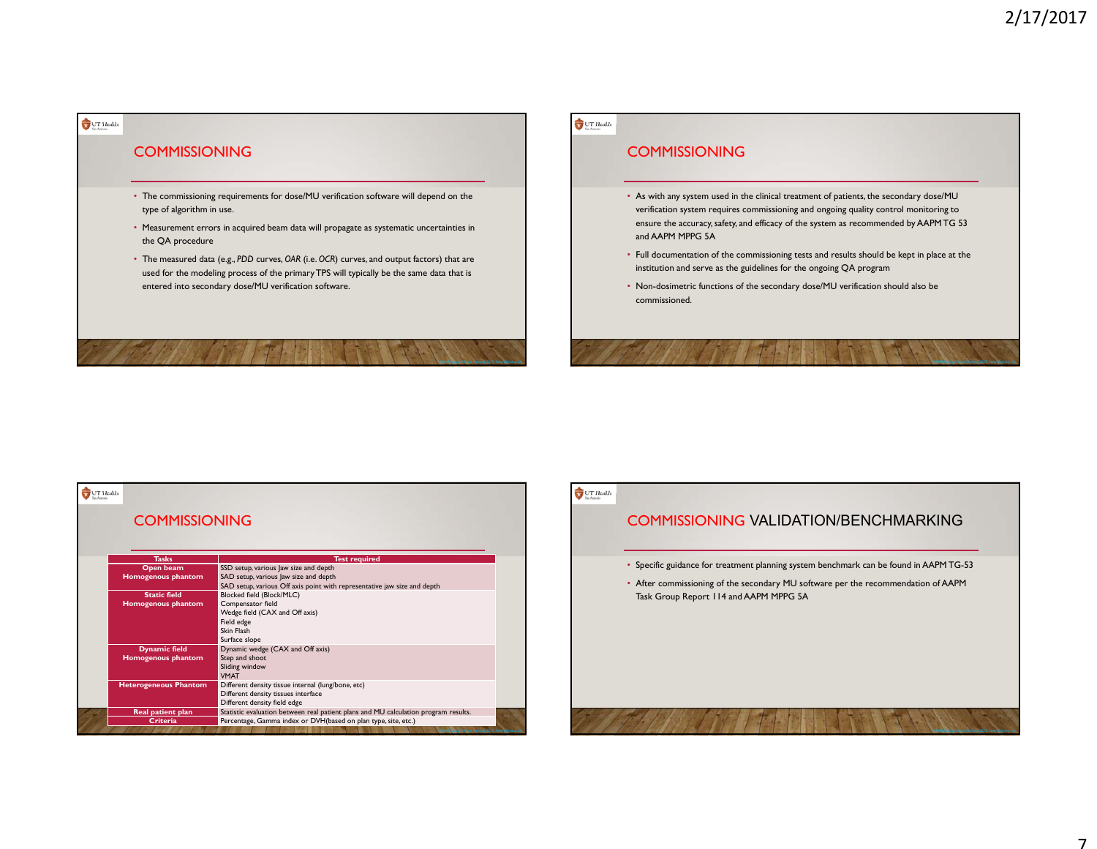# COMMISSIONING

 $\bigcup_{n\in\mathbb{N}}\text{UT}$  Health

- The commissioning requirements for dose/MU verification software will depend on the type of algorithm in use.
- Measurement errors in acquired beam data will propagate as systematic uncertainties in the QA procedure
- The measured data (e.g., *PDD* curves, *OAR* (i.e. *OCR*) curves, and output factors) that are used for the modeling process of the primary TPS will typically be the same data that is entered into secondary dose/MU verification software.

### $UT$ Health

# **COMMISSIONING**

- As with any system used in the clinical treatment of patients, the secondary dose/MU verification system requires commissioning and ongoing quality control monitoring to ensure the accuracy, safety, and efficacy of the system as recommended by AAPM TG 53 and AAPM MPPG 5A
- Full documentation of the commissioning tests and results should be kept in place at the institution and serve as the guidelines for the ongoing QA program
- Non-dosimetric functions of the secondary dose/MU verification should also be commissioned.

| T Health<br><b>COMMISSIONING</b> |                                                                                     |
|----------------------------------|-------------------------------------------------------------------------------------|
| <b>Tasks</b>                     | <b>Test required</b>                                                                |
| Open beam                        | SSD setup, various Jaw size and depth                                               |
| <b>Homogenous phantom</b>        | SAD setup, various Jaw size and depth                                               |
|                                  | SAD setup, various Off axis point with representative jaw size and depth            |
| <b>Static field</b>              | Blocked field (Block/MLC)                                                           |
| Homogenous phantom               | Compensator field                                                                   |
|                                  | Wedge field (CAX and Off axis)                                                      |
|                                  | Field edge                                                                          |
|                                  | Skin Flash                                                                          |
|                                  | Surface slope                                                                       |
| <b>Dynamic field</b>             | Dynamic wedge (CAX and Off axis)                                                    |
| <b>Homogenous phantom</b>        | Step and shoot                                                                      |
|                                  | Sliding window                                                                      |
|                                  | <b>VMAT</b>                                                                         |
| <b>Heterogeneous Phantom</b>     | Different density tissue internal (lung/bone, etc)                                  |
|                                  | Different density tissues interface                                                 |
|                                  | Different density field edge                                                        |
| Real patient plan                | Statistic evaluation between real patient plans and MU calculation program results. |
| <b>Criteria</b>                  | Percentage, Gamma index or DVH(based on plan type, site, etc.)                      |

# $\bigcup_{\text{on-form}}$  LT Health

# COMMISSIONING VALIDATION/BENCHMARKING

- Specific guidance for treatment planning system benchmark can be found in AAPM TG-53
- After commissioning of the secondary MU software per the recommendation of AAPM Task Group Report 114 and AAPM MPPG 5A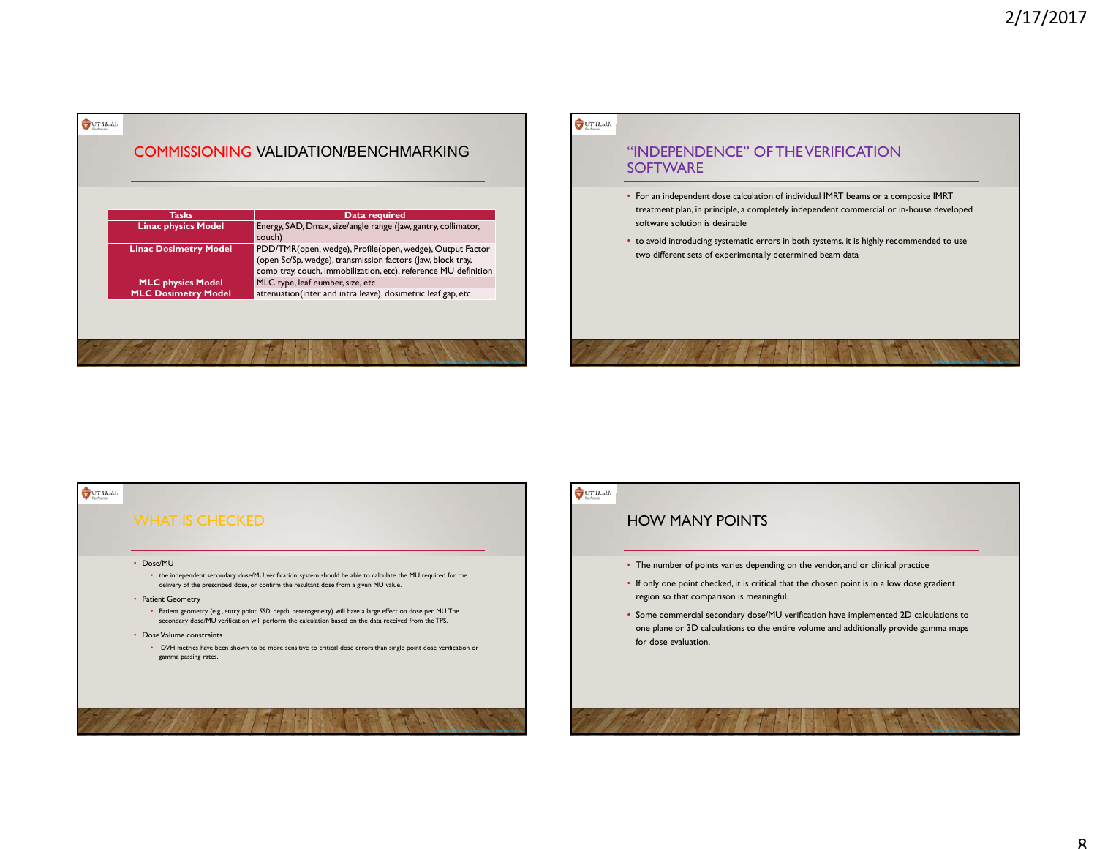| <b>Tasks</b>                 | Data required                                                                                                                                                                               |
|------------------------------|---------------------------------------------------------------------------------------------------------------------------------------------------------------------------------------------|
| <b>Linac physics Model</b>   | Energy, SAD, Dmax, size/angle range (Jaw, gantry, collimator,<br>couch)                                                                                                                     |
| <b>Linac Dosimetry Model</b> | PDD/TMR(open, wedge), Profile(open, wedge), Output Factor<br>(open Sc/Sp, wedge), transmission factors (law, block tray,<br>comp tray, couch, immobilization, etc), reference MU definition |
| <b>MLC physics Model</b>     | MLC type, leaf number, size, etc                                                                                                                                                            |
| <b>MLC Dosimetry Model</b>   | attenuation(inter and intra leave), dosimetric leaf gap, etc                                                                                                                                |

 $\triangle$  constant

### $UT$ Health

## "INDEPENDENCE" OF THE VERIFICATION **SOFTWARE**

- For an independent dose calculation of individual IMRT beams or a composite IMRT treatment plan, in principle, a completely independent commercial or in-house developed software solution is desirable
- to avoid introducing systematic errors in both systems, it is highly recommended to use two different sets of experimentally determined beam data



## $\bigcup_{\text{on-form}}$  LT Health

## HOW MANY POINTS

- The number of points varies depending on the vendor, and or clinical practice
- If only one point checked, it is critical that the chosen point is in a low dose gradient region so that comparison is meaningful.
- Some commercial secondary dose/MU verification have implemented 2D calculations to one plane or 3D calculations to the entire volume and additionally provide gamma maps for dose evaluation.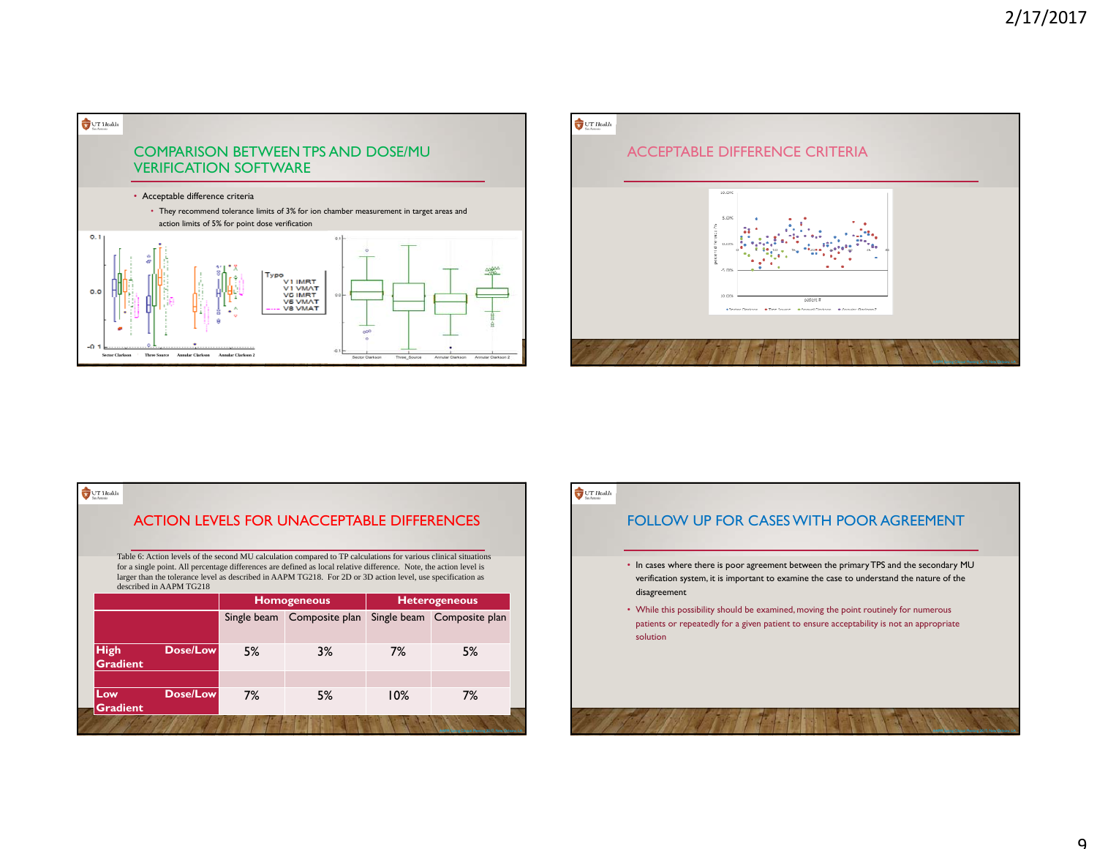



# $\bigcup_{\text{in} \text{ form}}$  LT Health ACTION LEVELS FOR UNACCEPTABLE DIFFERENCES Table 6: Action levels of the second MU calculation compared to TP calculations for various clinical situations for a single point. All percentage differences are defined as local relative difference. Note, the action level is larger than the tolerance level as described in AAPM TG218. For 2D or 3D action level, use specification as described in AAPM TG218**Homogeneous Heterogeneous** Single beam Composite plan Single beam Composite plan **High Dose/Low** 5% 3% 7% 5%**GradientLow Dose/Low**7% 5% 10% 7%**Gradient**

## $UT$  Health

# FOLLOW UP FOR CASES WITH POOR AGREEMENT

- In cases where there is poor agreement between the primary TPS and the secondary MU verification system, it is important to examine the case to understand the nature of the disagreement
- While this possibility should be examined, moving the point routinely for numerous patients or repeatedly for a given patient to ensure acceptability is not an appropriate solution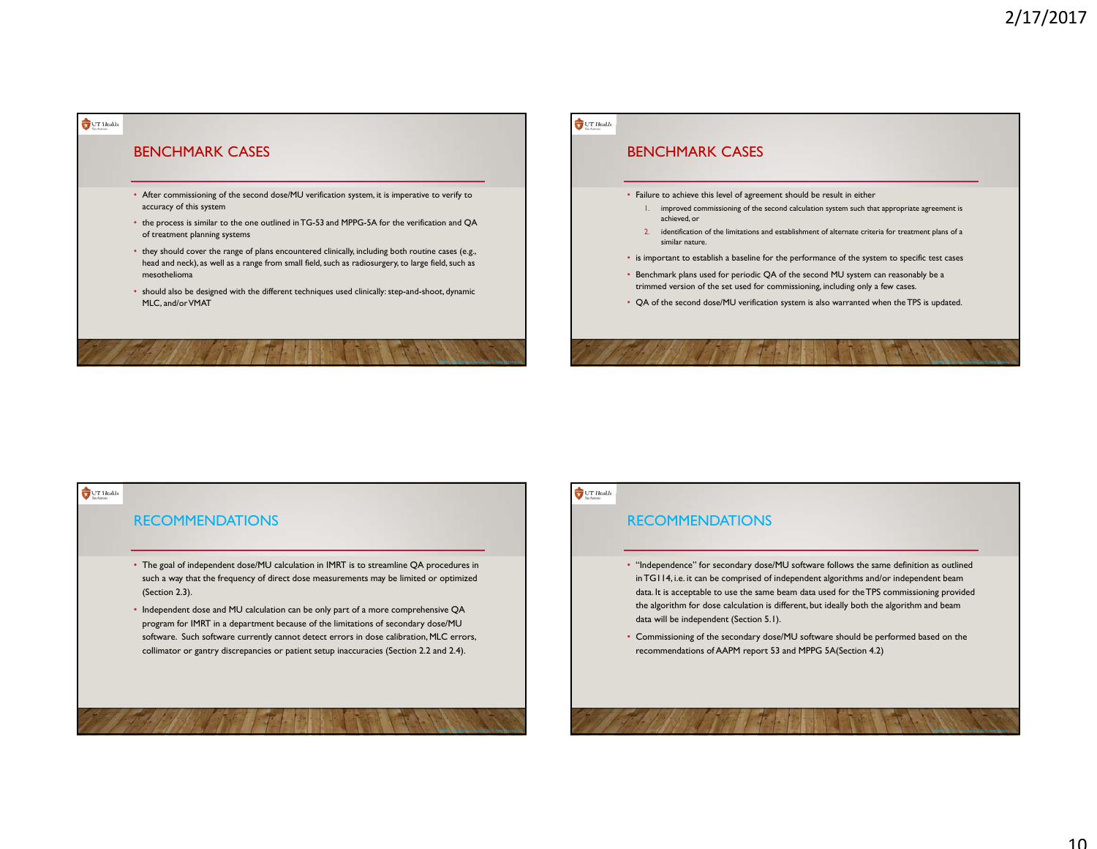

# $UT$  Health BENCHMARK CASES• Failure to achieve this level of agreement should be result in either 1. improved commissioning of the second calculation system such that appropriate agreement is achieved, or 2. identification of the limitations and establishment of alternate criteria for treatment plans of a similar nature.• is important to establish a baseline for the performance of the system to specific test cases • Benchmark plans used for periodic QA of the second MU system can reasonably be a trimmed version of the set used for commissioning, including only a few cases. • QA of the second dose/MU verification system is also warranted when the TPS is updated.

# $UT$  Health **RECOMMENDATIONS** • The goal of independent dose/MU calculation in IMRT is to streamline QA procedures in such a way that the frequency of direct dose measurements may be limited or optimized (Section 2.3). • Independent dose and MU calculation can be only part of a more comprehensive QA program for IMRT in a department because of the limitations of secondary dose/MU software. Such software currently cannot detect errors in dose calibration, MLC errors, collimator or gantry discrepancies or patient setup inaccuracies (Section 2.2 and 2.4).

## $UT$  Health

# **RECOMMENDATIONS**

- "Independence" for secondary dose/MU software follows the same definition as outlined in TG114, i.e. it can be comprised of independent algorithms and/or independent beam data. It is acceptable to use the same beam data used for the TPS commissioning provided the algorithm for dose calculation is different, but ideally both the algorithm and beam data will be independent (Section 5.1).
- Commissioning of the secondary dose/MU software should be performed based on the recommendations of AAPM report 53 and MPPG 5A(Section 4.2)